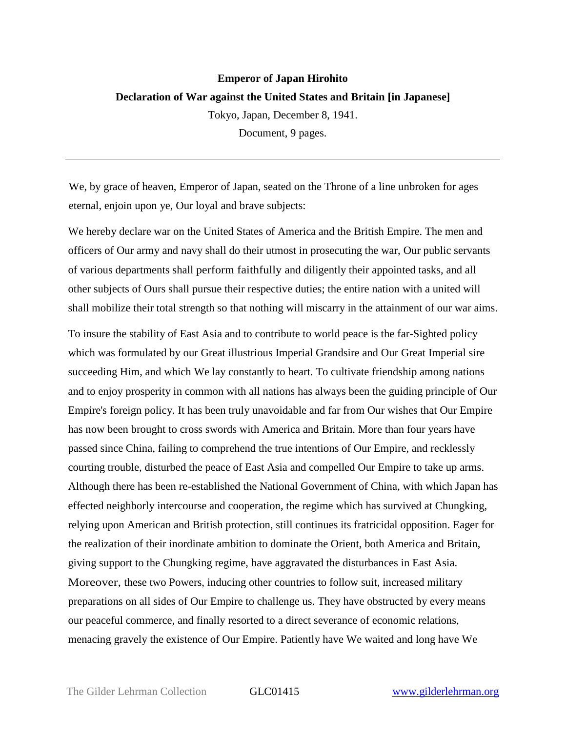## **Emperor of Japan Hirohito Declaration of War against the United States and Britain [in Japanese]**

Tokyo, Japan, December 8, 1941.

Document, 9 pages.

We, by grace of heaven, Emperor of Japan, seated on the Throne of a line unbroken for ages eternal, enjoin upon ye, Our loyal and brave subjects:

We hereby declare war on the United States of America and the British Empire. The men and officers of Our army and navy shall do their utmost in prosecuting the war, Our public servants of various departments shall perform faithfully and diligently their appointed tasks, and all other subjects of Ours shall pursue their respective duties; the entire nation with a united will shall mobilize their total strength so that nothing will miscarry in the attainment of our war aims.

To insure the stability of East Asia and to contribute to world peace is the far-Sighted policy which was formulated by our Great illustrious Imperial Grandsire and Our Great Imperial sire succeeding Him, and which We lay constantly to heart. To cultivate friendship among nations and to enjoy prosperity in common with all nations has always been the guiding principle of Our Empire's foreign policy. It has been truly unavoidable and far from Our wishes that Our Empire has now been brought to cross swords with America and Britain. More than four years have passed since China, failing to comprehend the true intentions of Our Empire, and recklessly courting trouble, disturbed the peace of East Asia and compelled Our Empire to take up arms. Although there has been re-established the National Government of China, with which Japan has effected neighborly intercourse and cooperation, the regime which has survived at Chungking, relying upon American and British protection, still continues its fratricidal opposition. Eager for the realization of their inordinate ambition to dominate the Orient, both America and Britain, giving support to the Chungking regime, have aggravated the disturbances in East Asia. Moreover, these two Powers, inducing other countries to follow suit, increased military preparations on all sides of Our Empire to challenge us. They have obstructed by every means our peaceful commerce, and finally resorted to a direct severance of economic relations, menacing gravely the existence of Our Empire. Patiently have We waited and long have We